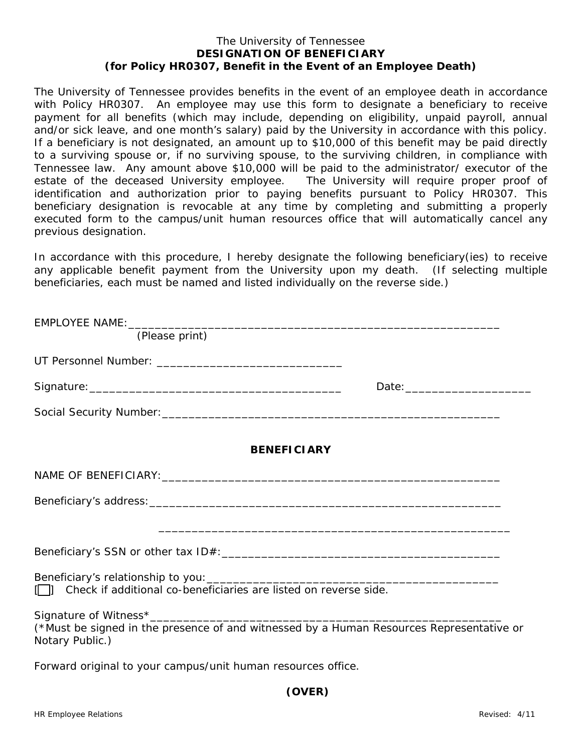## The University of Tennessee **DESIGNATION OF BENEFICIARY (for Policy HR0307, Benefit in the Event of an Employee Death)**

The University of Tennessee provides benefits in the event of an employee death in accordance with Policy HR0307. An employee may use this form to designate a beneficiary to receive payment for all benefits (which may include, depending on eligibility, unpaid payroll, annual and/or sick leave, and one month's salary) paid by the University in accordance with this policy. If a beneficiary is not designated, an amount up to \$10,000 of this benefit may be paid directly to a surviving spouse or, if no surviving spouse, to the surviving children, in compliance with Tennessee law. Any amount above \$10,000 will be paid to the administrator/ executor of the estate of the deceased University employee. The University will require proper proof of identification and authorization prior to paying benefits pursuant to Policy HR0307. This beneficiary designation is revocable at any time by completing and submitting a properly executed form to the campus/unit human resources office that will automatically cancel any previous designation.

*In accordance with this procedure, I hereby designate the following beneficiary(ies) to receive any applicable benefit payment from the University upon my death.* (If selecting multiple beneficiaries, each must be named and listed individually on the reverse side.)

| (Please print)                                                                                              |  |
|-------------------------------------------------------------------------------------------------------------|--|
|                                                                                                             |  |
|                                                                                                             |  |
|                                                                                                             |  |
| <b>BENEFICIARY</b>                                                                                          |  |
|                                                                                                             |  |
|                                                                                                             |  |
|                                                                                                             |  |
|                                                                                                             |  |
| Check if additional co-beneficiaries are listed on reverse side.                                            |  |
| (*Must be signed in the presence of and witnessed by a Human Resources Representative or<br>Notary Public.) |  |
| Forward original to your campus/unit human resources office.                                                |  |